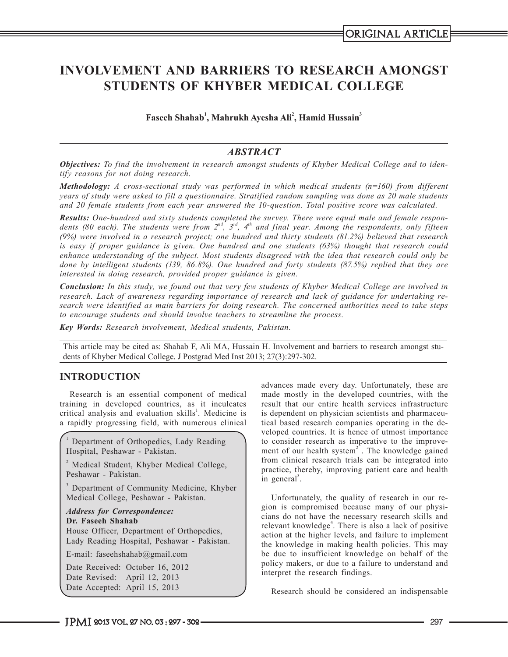# **INVOLVEMENT AND BARRIERS TO RESEARCH AMONGST STUDENTS OF KHYBER MEDICAL COLLEGE**

**Faseeh Shahab<sup>1</sup> , Mahrukh Ayesha Ali2 , Hamid Hussain<sup>3</sup>**

## *ABSTRACT*

*Objectives: To find the involvement in research amongst students of Khyber Medical College and to identify reasons for not doing research.* 

*Methodology: A cross-sectional study was performed in which medical students (n=160) from different years of study were asked to fill a questionnaire. Stratified random sampling was done as 20 male students and 20 female students from each year answered the 10-question. Total positive score was calculated.*

*Results: One-hundred and sixty students completed the survey. There were equal male and female respon*dents (80 each). The students were from 2<sup>nd</sup>, 3<sup>rd</sup>, 4<sup>th</sup> and final year. Among the respondents, only fifteen *(9%) were involved in a research project; one hundred and thirty students (81.2%) believed that research is easy if proper guidance is given. One hundred and one students (63%) thought that research could enhance understanding of the subject. Most students disagreed with the idea that research could only be done by intelligent students (139, 86.8%). One hundred and forty students (87.5%) replied that they are interested in doing research, provided proper guidance is given.*

*Conclusion: In this study, we found out that very few students of Khyber Medical College are involved in research. Lack of awareness regarding importance of research and lack of guidance for undertaking research were identified as main barriers for doing research. The concerned authorities need to take steps to encourage students and should involve teachers to streamline the process.*

*Key Words: Research involvement, Medical students, Pakistan.*

This article may be cited as: Shahab F, Ali MA, Hussain H. Involvement and barriers to research amongst students of Khyber Medical College. J Postgrad Med Inst 2013; 27(3):297-302.

## **INTRODUCTION**

Research is an essential component of medical training in developed countries, as it inculcates critical analysis and evaluation skills<sup>1</sup>. Medicine is a rapidly progressing field, with numerous clinical

1 Department of Orthopedics, Lady Reading Hospital, Peshawar - Pakistan.

<sup>2</sup> Medical Student, Khyber Medical College, Peshawar - Pakistan.

<sup>3</sup> Department of Community Medicine, Khyber Medical College, Peshawar - Pakistan.

*Address for Correspondence:* **Dr. Faseeh Shahab** House Officer, Department of Orthopedics, Lady Reading Hospital, Peshawar - Pakistan.

E-mail: faseehshahab@gmail.com

Date Received: October 16, 2012 Date Revised: April 12, 2013 Date Accepted: April 15, 2013

advances made every day. Unfortunately, these are made mostly in the developed countries, with the result that our entire health services infrastructure is dependent on physician scientists and pharmaceutical based research companies operating in the developed countries. It is hence of utmost importance to consider research as imperative to the improvement of our health system $2$ . The knowledge gained from clinical research trials can be integrated into practice, thereby, improving patient care and health in general<sup>3</sup>.

Unfortunately, the quality of research in our region is compromised because many of our physicians do not have the necessary research skills and relevant knowledge<sup>4</sup>. There is also a lack of positive action at the higher levels, and failure to implement the knowledge in making health policies. This may be due to insufficient knowledge on behalf of the policy makers, or due to a failure to understand and interpret the research findings.

Research should be considered an indispensable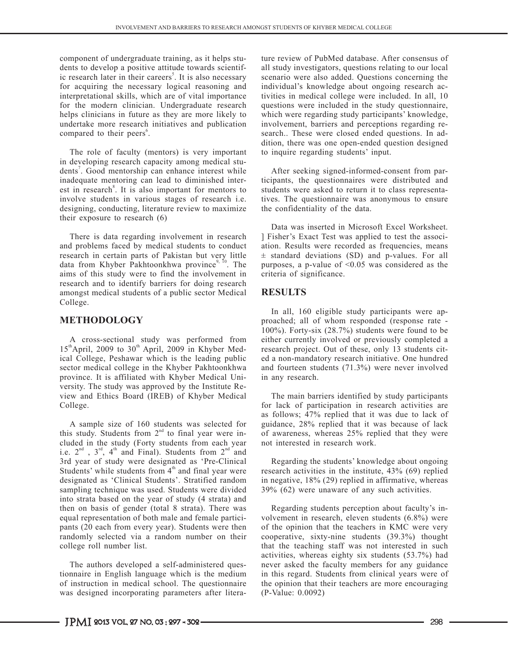component of undergraduate training, as it helps students to develop a positive attitude towards scientific research later in their careers<sup>5</sup>. It is also necessary for acquiring the necessary logical reasoning and interpretational skills, which are of vital importance for the modern clinician. Undergraduate research helps clinicians in future as they are more likely to undertake more research initiatives and publication compared to their peers<sup>6</sup>.

The role of faculty (mentors) is very important in developing research capacity among medical students<sup>7</sup>. Good mentorship can enhance interest while inadequate mentoring can lead to diminished interest in research<sup>8</sup>. It is also important for mentors to involve students in various stages of research i.e. designing, conducting, literature review to maximize their exposure to research (6)

There is data regarding involvement in research and problems faced by medical students to conduct research in certain parts of Pakistan but very little data from Khyber Pakhtoonkhwa province<sup>9, 10</sup>. The aims of this study were to find the involvement in research and to identify barriers for doing research amongst medical students of a public sector Medical College.

## **METHODOLOGY**

A cross-sectional study was performed from  $15<sup>th</sup>$ April, 2009 to 30<sup>th</sup> April, 2009 in Khyber Medical College, Peshawar which is the leading public sector medical college in the Khyber Pakhtoonkhwa province. It is affiliated with Khyber Medical University. The study was approved by the Institute Review and Ethics Board (IREB) of Khyber Medical College.

A sample size of 160 students was selected for this study. Students from  $2<sup>nd</sup>$  to final year were included in the study (Forty students from each year i.e.  $2^{nd}$ ,  $3^{rd}$ ,  $4^{th}$  and Final). Students from  $2^{nd}$  and 3rd year of study were designated as 'Pre-Clinical Students' while students from  $4<sup>th</sup>$  and final year were designated as 'Clinical Students'. Stratified random sampling technique was used. Students were divided into strata based on the year of study (4 strata) and then on basis of gender (total 8 strata). There was equal representation of both male and female participants (20 each from every year). Students were then randomly selected via a random number on their college roll number list.

The authors developed a self-administered questionnaire in English language which is the medium of instruction in medical school. The questionnaire was designed incorporating parameters after literature review of PubMed database. After consensus of all study investigators, questions relating to our local scenario were also added. Questions concerning the individual's knowledge about ongoing research activities in medical college were included. In all, 10 questions were included in the study questionnaire, which were regarding study participants' knowledge, involvement, barriers and perceptions regarding research.. These were closed ended questions. In addition, there was one open-ended question designed to inquire regarding students' input.

After seeking signed-informed-consent from participants, the questionnaires were distributed and students were asked to return it to class representatives. The questionnaire was anonymous to ensure the confidentiality of the data.

Data was inserted in Microsoft Excel Worksheet. ] Fisher's Exact Test was applied to test the association. Results were recorded as frequencies, means  $\pm$  standard deviations (SD) and p-values. For all purposes, a p-value of  $\leq 0.05$  was considered as the criteria of significance.

## **RESULTS**

In all, 160 eligible study participants were approached; all of whom responded (response rate - 100%). Forty-six (28.7%) students were found to be either currently involved or previously completed a research project. Out of these, only 13 students cited a non-mandatory research initiative. One hundred and fourteen students (71.3%) were never involved in any research.

The main barriers identified by study participants for lack of participation in research activities are as follows; 47% replied that it was due to lack of guidance, 28% replied that it was because of lack of awareness, whereas 25% replied that they were not interested in research work.

Regarding the students' knowledge about ongoing research activities in the institute, 43% (69) replied in negative, 18% (29) replied in affirmative, whereas 39% (62) were unaware of any such activities.

Regarding students perception about faculty's involvement in research, eleven students (6.8%) were of the opinion that the teachers in KMC were very cooperative, sixty-nine students (39.3%) thought that the teaching staff was not interested in such activities, whereas eighty six students (53.7%) had never asked the faculty members for any guidance in this regard. Students from clinical years were of the opinion that their teachers are more encouraging (P-Value: 0.0092)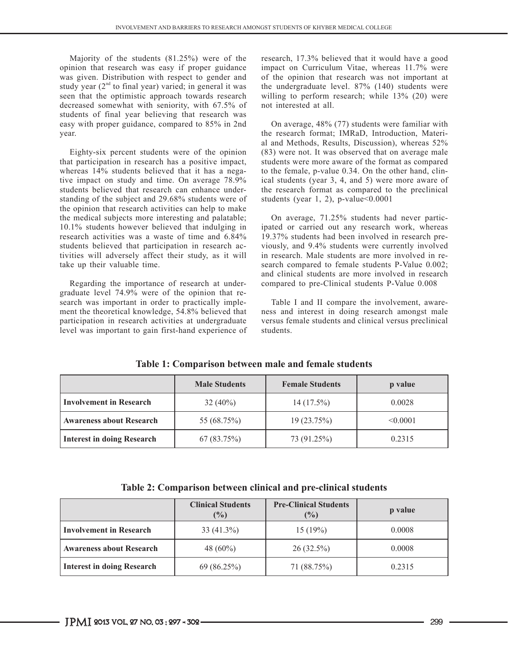Majority of the students (81.25%) were of the opinion that research was easy if proper guidance was given. Distribution with respect to gender and study year  $(2<sup>nd</sup>$  to final year) varied; in general it was seen that the optimistic approach towards research decreased somewhat with seniority, with 67.5% of students of final year believing that research was easy with proper guidance, compared to 85% in 2nd year.

Eighty-six percent students were of the opinion that participation in research has a positive impact, whereas 14% students believed that it has a negative impact on study and time. On average 78.9% students believed that research can enhance understanding of the subject and 29.68% students were of the opinion that research activities can help to make the medical subjects more interesting and palatable; 10.1% students however believed that indulging in research activities was a waste of time and 6.84% students believed that participation in research activities will adversely affect their study, as it will take up their valuable time.

Regarding the importance of research at undergraduate level 74.9% were of the opinion that research was important in order to practically implement the theoretical knowledge, 54.8% believed that participation in research activities at undergraduate level was important to gain first-hand experience of research, 17.3% believed that it would have a good impact on Curriculum Vitae, whereas 11.7% were of the opinion that research was not important at the undergraduate level. 87% (140) students were willing to perform research; while 13% (20) were not interested at all.

On average, 48% (77) students were familiar with the research format; IMRaD, Introduction, Material and Methods, Results, Discussion), whereas 52% (83) were not. It was observed that on average male students were more aware of the format as compared to the female, p-value 0.34. On the other hand, clinical students (year 3, 4, and 5) were more aware of the research format as compared to the preclinical students (year 1, 2), p-value $<0.0001$ 

On average, 71.25% students had never participated or carried out any research work, whereas 19.37% students had been involved in research previously, and 9.4% students were currently involved in research. Male students are more involved in research compared to female students P-Value 0.002; and clinical students are more involved in research compared to pre-Clinical students P-Value 0.008

Table I and II compare the involvement, awareness and interest in doing research amongst male versus female students and clinical versus preclinical students.

|                                   | <b>Male Students</b> | <b>Female Students</b> | p value  |
|-----------------------------------|----------------------|------------------------|----------|
| <b>Involvement in Research</b>    | $32(40\%)$           | $14(17.5\%)$           | 0.0028   |
| <b>Awareness about Research</b>   | 55 (68.75%)          | 19 (23.75%)            | < 0.0001 |
| <b>Interest in doing Research</b> | 67(83.75%)           | 73 (91.25%)            | 0.2315   |

**Table 1: Comparison between male and female students**

**Table 2: Comparison between clinical and pre-clinical students**

|                                   | <b>Clinical Students</b><br>(%) | <b>Pre-Clinical Students</b><br>(%) | p value |
|-----------------------------------|---------------------------------|-------------------------------------|---------|
| <b>Involvement in Research</b>    | $33(41.3\%)$                    | 15(19%)                             | 0.0008  |
| <b>Awareness about Research</b>   | 48 $(60\%)$                     | $26(32.5\%)$                        | 0.0008  |
| <b>Interest in doing Research</b> | 69 (86.25%)                     | 71 (88.75%)                         | 0.2315  |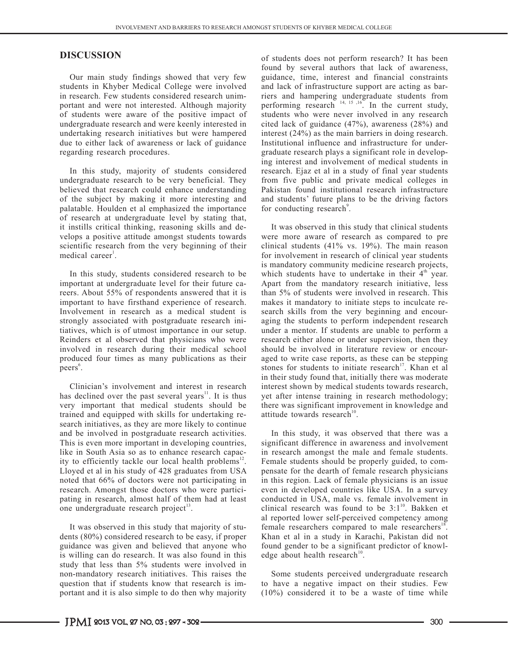#### **DISCUSSION**

Our main study findings showed that very few students in Khyber Medical College were involved in research. Few students considered research unimportant and were not interested. Although majority of students were aware of the positive impact of undergraduate research and were keenly interested in undertaking research initiatives but were hampered due to either lack of awareness or lack of guidance regarding research procedures.

In this study, majority of students considered undergraduate research to be very beneficial. They believed that research could enhance understanding of the subject by making it more interesting and palatable. Houlden et al emphasized the importance of research at undergraduate level by stating that, it instills critical thinking, reasoning skills and develops a positive attitude amongst students towards scientific research from the very beginning of their medical career<sup>1</sup>.

In this study, students considered research to be important at undergraduate level for their future careers. About 55% of respondents answered that it is important to have firsthand experience of research. Involvement in research as a medical student is strongly associated with postgraduate research initiatives, which is of utmost importance in our setup. Reinders et al observed that physicians who were involved in research during their medical school produced four times as many publications as their peers<sup>6</sup>.

Clinician's involvement and interest in research has declined over the past several years<sup>11</sup>. It is thus very important that medical students should be trained and equipped with skills for undertaking research initiatives, as they are more likely to continue and be involved in postgraduate research activities. This is even more important in developing countries, like in South Asia so as to enhance research capacity to efficiently tackle our local health problems<sup>12</sup>. Lloyed et al in his study of 428 graduates from USA noted that 66% of doctors were not participating in research. Amongst those doctors who were participating in research, almost half of them had at least one undergraduate research project<sup>13</sup>.

It was observed in this study that majority of students (80%) considered research to be easy, if proper guidance was given and believed that anyone who is willing can do research. It was also found in this study that less than 5% students were involved in non-mandatory research initiatives. This raises the question that if students know that research is important and it is also simple to do then why majority

of students does not perform research? It has been found by several authors that lack of awareness, guidance, time, interest and financial constraints and lack of infrastructure support are acting as barriers and hampering undergraduate students from performing research  $14, 15, 16$ . In the current study, students who were never involved in any research cited lack of guidance (47%), awareness (28%) and interest (24%) as the main barriers in doing research. Institutional influence and infrastructure for undergraduate research plays a significant role in developing interest and involvement of medical students in research. Ejaz et al in a study of final year students from five public and private medical colleges in Pakistan found institutional research infrastructure and students' future plans to be the driving factors for conducting research<sup>9</sup>.

It was observed in this study that clinical students were more aware of research as compared to pre clinical students (41% vs. 19%). The main reason for involvement in research of clinical year students is mandatory community medicine research projects, which students have to undertake in their  $4<sup>th</sup>$  year. Apart from the mandatory research initiative, less than 5% of students were involved in research. This makes it mandatory to initiate steps to inculcate research skills from the very beginning and encouraging the students to perform independent research under a mentor. If students are unable to perform a research either alone or under supervision, then they should be involved in literature review or encouraged to write case reports, as these can be stepping stones for students to initiate research<sup>17</sup>. Khan et al. in their study found that, initially there was moderate interest shown by medical students towards research, yet after intense training in research methodology; there was significant improvement in knowledge and attitude towards research $^{10}$ .

In this study, it was observed that there was a significant difference in awareness and involvement in research amongst the male and female students. Female students should be properly guided, to compensate for the dearth of female research physicians in this region. Lack of female physicians is an issue even in developed countries like USA. In a survey conducted in USA, male vs. female involvement in clinical research was found to be  $3:1^{10}$ . Bakken et al reported lower self-perceived competency among female researchers compared to male researchers<sup>18</sup>. Khan et al in a study in Karachi, Pakistan did not found gender to be a significant predictor of knowledge about health research $10$ .

Some students perceived undergraduate research to have a negative impact on their studies. Few (10%) considered it to be a waste of time while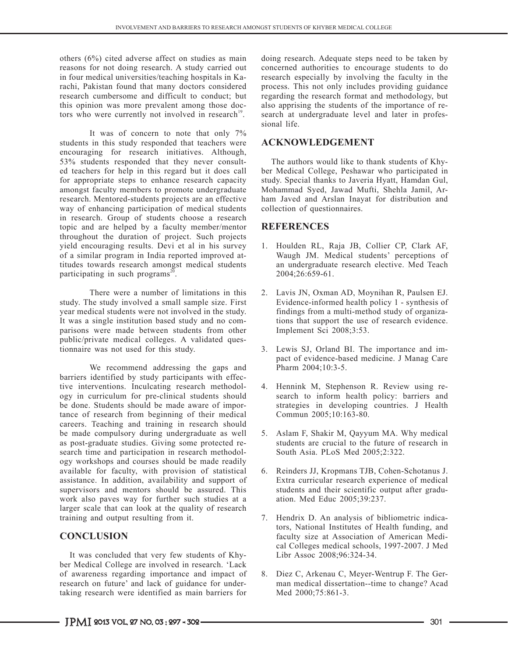others (6%) cited adverse affect on studies as main reasons for not doing research. A study carried out in four medical universities/teaching hospitals in Karachi, Pakistan found that many doctors considered research cumbersome and difficult to conduct; but this opinion was more prevalent among those doctors who were currently not involved in research<sup>19</sup>.

It was of concern to note that only 7% students in this study responded that teachers were encouraging for research initiatives. Although, 53% students responded that they never consulted teachers for help in this regard but it does call for appropriate steps to enhance research capacity amongst faculty members to promote undergraduate research. Mentored-students projects are an effective way of enhancing participation of medical students in research. Group of students choose a research topic and are helped by a faculty member/mentor throughout the duration of project. Such projects yield encouraging results. Devi et al in his survey of a similar program in India reported improved attitudes towards research amongst medical students participating in such programs $^{20}$ .

There were a number of limitations in this study. The study involved a small sample size. First year medical students were not involved in the study. It was a single institution based study and no comparisons were made between students from other public/private medical colleges. A validated questionnaire was not used for this study.

We recommend addressing the gaps and barriers identified by study participants with effective interventions. Inculcating research methodology in curriculum for pre-clinical students should be done. Students should be made aware of importance of research from beginning of their medical careers. Teaching and training in research should be made compulsory during undergraduate as well as post-graduate studies. Giving some protected research time and participation in research methodology workshops and courses should be made readily available for faculty, with provision of statistical assistance. In addition, availability and support of supervisors and mentors should be assured. This work also paves way for further such studies at a larger scale that can look at the quality of research training and output resulting from it.

## **CONCLUSION**

It was concluded that very few students of Khyber Medical College are involved in research. 'Lack of awareness regarding importance and impact of research on future' and lack of guidance for undertaking research were identified as main barriers for

doing research. Adequate steps need to be taken by concerned authorities to encourage students to do research especially by involving the faculty in the process. This not only includes providing guidance regarding the research format and methodology, but also apprising the students of the importance of research at undergraduate level and later in professional life.

### **ACKNOWLEDGEMENT**

The authors would like to thank students of Khyber Medical College, Peshawar who participated in study. Special thanks to Javeria Hyatt, Hamdan Gul, Mohammad Syed, Jawad Mufti, Shehla Jamil, Arham Javed and Arslan Inayat for distribution and collection of questionnaires.

## **REFERENCES**

- 1. Houlden RL, Raja JB, Collier CP, Clark AF, Waugh JM. Medical students' perceptions of an undergraduate research elective. Med Teach 2004;26:659-61.
- 2. Lavis JN, Oxman AD, Moynihan R, Paulsen EJ. Evidence-informed health policy 1 - synthesis of findings from a multi-method study of organizations that support the use of research evidence. Implement Sci 2008;3:53.
- 3. Lewis SJ, Orland BI. The importance and impact of evidence-based medicine. J Manag Care Pharm 2004;10:3-5.
- 4. Hennink M, Stephenson R. Review using research to inform health policy: barriers and strategies in developing countries. J Health Commun 2005;10:163-80.
- 5. Aslam F, Shakir M, Qayyum MA. Why medical students are crucial to the future of research in South Asia. PLoS Med 2005;2:322.
- 6. Reinders JJ, Kropmans TJB, Cohen-Schotanus J. Extra curricular research experience of medical students and their scientific output after graduation. Med Educ 2005;39:237.
- 7. Hendrix D. An analysis of bibliometric indicators, National Institutes of Health funding, and faculty size at Association of American Medical Colleges medical schools, 1997-2007. J Med Libr Assoc 2008;96:324-34.
- 8. Diez C, Arkenau C, Meyer-Wentrup F. The German medical dissertation--time to change? Acad Med 2000;75:861-3.